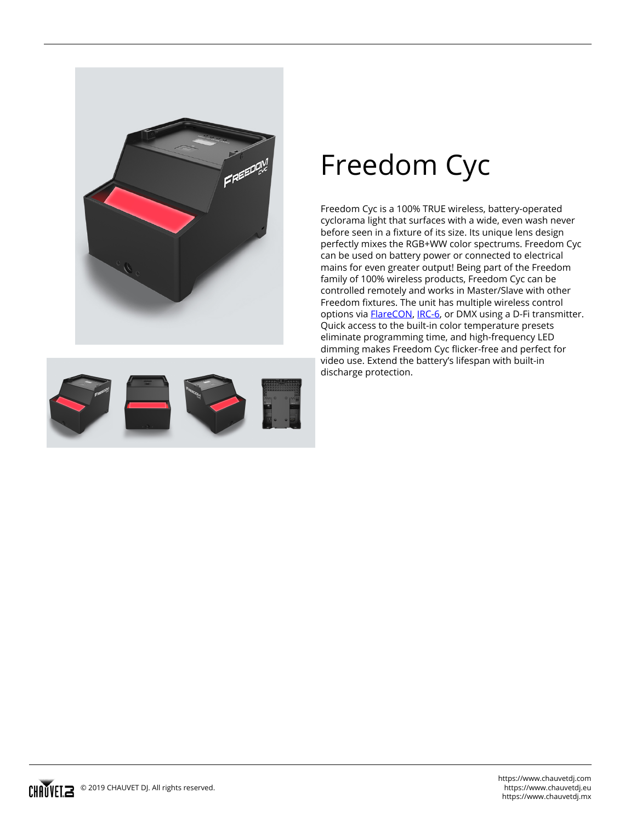

## **Freedom Cyc**

Freedom Cyc is a 100% TRUE wireless, battery-operated cyclorama light that surfaces with a wide, even wash never before seen in a fixture of its size. Its unique lens design perfectly mixes the RGB+WW color spectrums. Freedom Cyc can be used on battery power or connected to electrical mains for even greater output! Being part of the Freedom family of 100% wireless products, Freedom Cyc can be controlled remotely and works in Master/Slave with other Freedom fixtures. The unit has multiple wireless control options via [FlareCON](/products/flarecon-air/), [IRC-6](/products/irc-6/), or DMX using a D-Fi transmitter. Quick access to the built-in color temperature presets eliminate programming time, and high-frequency LED dimming makes Freedom Cyc flicker-free and perfect for video use. Extend the battery's lifespan with built-in discharge protection.

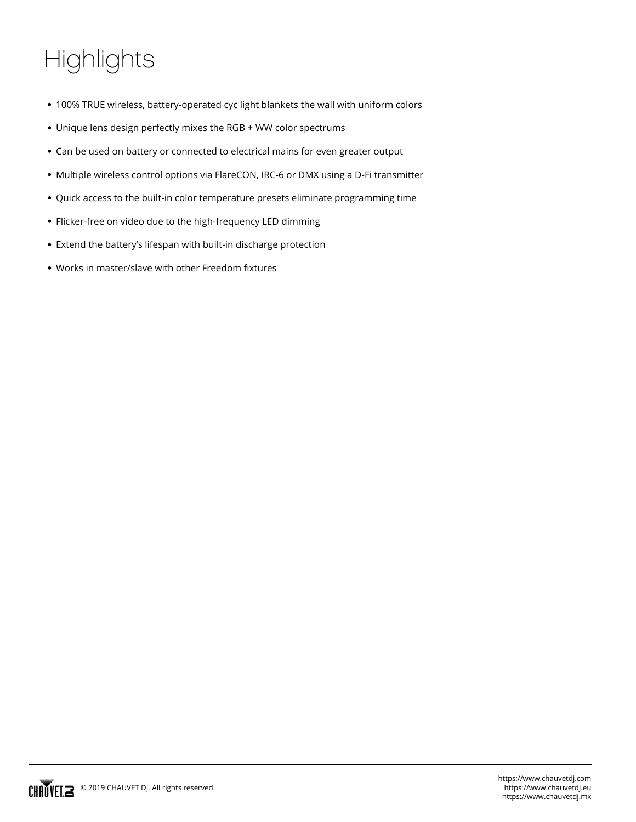## **Highlights**

- 100% TRUE wireless, battery-operated cyc light blankets the wall with uniform colors
- Unique lens design perfectly mixes the RGB + WW color spectrums
- Can be used on battery or connected to electrical mains for even greater output
- Multiple wireless control options via FlareCON, IRC-6 or DMX using a D-Fi transmitter
- Quick access to the built-in color temperature presets eliminate programming time
- Flicker-free on video due to the high-frequency LED dimming
- Extend the battery's lifespan with built-in discharge protection
- Works in master/slave with other Freedom fixtures